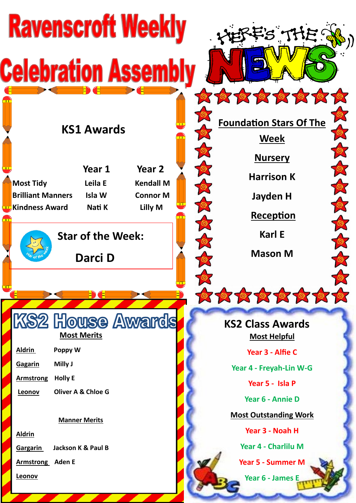| <b>Ravenscroft Weekly</b><br>S THE ! |                                                                                                                                            |                               |                            |  |                                                    |  |
|--------------------------------------|--------------------------------------------------------------------------------------------------------------------------------------------|-------------------------------|----------------------------|--|----------------------------------------------------|--|
| <b>Celebration Assemi</b>            |                                                                                                                                            |                               |                            |  |                                                    |  |
|                                      |                                                                                                                                            | <b>KS1 Awards</b>             |                            |  | 0000000000<br><b>Foundation Stars Of The</b>       |  |
|                                      | <b>Most Tidy</b>                                                                                                                           | Year 1<br>Leila E             | Year 2<br><b>Kendall M</b> |  | <b>Week</b><br><b>Nursery</b><br><b>Harrison K</b> |  |
|                                      | <b>Brilliant Manners</b><br>Isla W<br><b>Connor M</b><br>Lilly M<br><b>Kindness Award</b><br>Nati K<br><b>Star of the Week:</b><br>Darci D |                               |                            |  | Jayden H<br>Reception<br><b>Karl E</b>             |  |
| <u>an Tit</u>                        |                                                                                                                                            |                               |                            |  | <b>Mason M</b>                                     |  |
| 0000000000                           |                                                                                                                                            |                               |                            |  |                                                    |  |
|                                      |                                                                                                                                            | <b>Most Merits</b>            | <b>KS2 House Awards</b>    |  | <b>KS2 Class Awards</b><br><b>Most Helpful</b>     |  |
|                                      | <b>Aldrin</b>                                                                                                                              | Poppy W                       |                            |  | Year 3 - Alfie C                                   |  |
|                                      | Gagarin                                                                                                                                    | Milly J                       |                            |  | Year 4 - Freyah-Lin W-G                            |  |
|                                      | <b>Armstrong</b>                                                                                                                           | <b>Holly E</b>                |                            |  | Year 5 - Isla P                                    |  |
|                                      | Leonov                                                                                                                                     | <b>Oliver A &amp; Chloe G</b> |                            |  | Year 6 - Annie D                                   |  |
|                                      |                                                                                                                                            | <b>Manner Merits</b>          |                            |  | <b>Most Outstanding Work</b>                       |  |
|                                      | <b>Aldrin</b>                                                                                                                              |                               |                            |  | Year 3 - Noah H                                    |  |
|                                      | <b>Gargarin</b>                                                                                                                            | Jackson K & Paul B            |                            |  | Year 4 - Charlilu M                                |  |
|                                      | <b>Armstrong</b> Aden E                                                                                                                    |                               |                            |  | <b>Year 5 - Summer M</b>                           |  |
|                                      | <b>Leonov</b>                                                                                                                              |                               |                            |  | Year 6 - James E                                   |  |